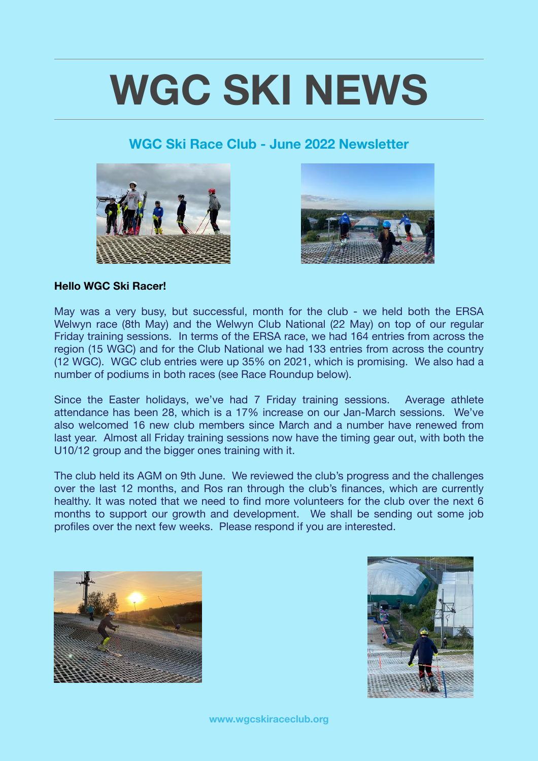# **WGC SKI NEWS**

### **WGC Ski Race Club - June 2022 Newsletter**





#### **Hello WGC Ski Racer!**

May was a very busy, but successful, month for the club - we held both the ERSA Welwyn race (8th May) and the Welwyn Club National (22 May) on top of our regular Friday training sessions. In terms of the ERSA race, we had 164 entries from across the region (15 WGC) and for the Club National we had 133 entries from across the country (12 WGC). WGC club entries were up 35% on 2021, which is promising. We also had a number of podiums in both races (see Race Roundup below).

Since the Easter holidays, we've had 7 Friday training sessions. Average athlete attendance has been 28, which is a 17% increase on our Jan-March sessions. We've also welcomed 16 new club members since March and a number have renewed from last year. Almost all Friday training sessions now have the timing gear out, with both the U10/12 group and the bigger ones training with it.

The club held its AGM on 9th June. We reviewed the club's progress and the challenges over the last 12 months, and Ros ran through the club's finances, which are currently healthy. It was noted that we need to find more volunteers for the club over the next 6 months to support our growth and development. We shall be sending out some job profiles over the next few weeks. Please respond if you are interested.



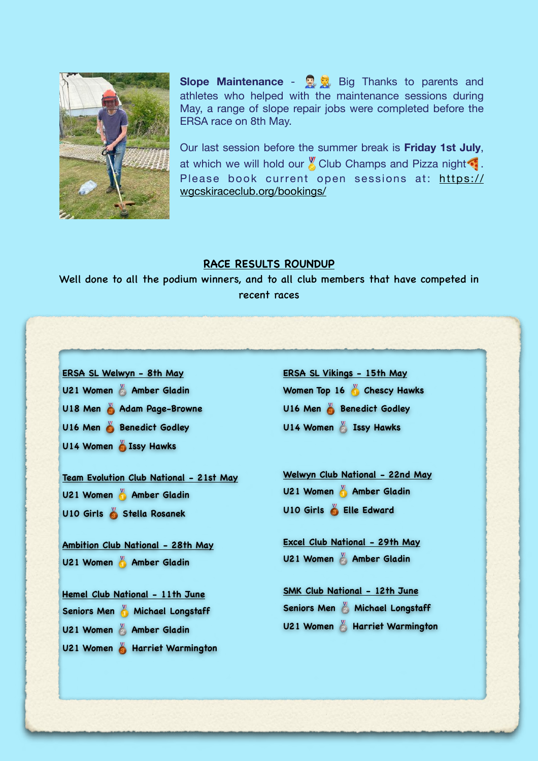

**Slope Maintenance** - **B**<sub>R</sub> Big Thanks to parents and athletes who helped with the maintenance sessions during May, a range of slope repair jobs were completed before the ERSA race on 8th May.

Our last session before the summer break is **Friday 1st July**, at which we will hold our  $\mathbb X$  Club Champs and Pizza night Please book current open sessions at: [https://](https://wgcskiraceclub.org/bookings/) [wgcskiraceclub.org/bookings/](https://wgcskiraceclub.org/bookings/)

#### **RACE RESULTS ROUNDUP**

Well done to all the podium winners, and to all club members that have competed in recent races

# **ERSA SL Welwyn - 8th May U21 Women Amber Gladin U18 Men Adam Page-Browne U16 Men & Benedict Godley U14 Women & Issy Hawks Team Evolution Club National - 21st May U21 Women Amber Gladin U10 Girls Stella Rosanek Ambition Club National - 28th May U21 Women Amber Gladin Hemel Club National - 11th June Seniors Men Michael Longstaff U21 Women Amber Gladin U21 Women & Harriet Warmington ERSA SL Vikings - 15th May**

**Women Top 16 Chescy Hawks U16 Men & Benedict Godley U14 Women & Issy Hawks** 

**Welwyn Club National - 22nd May U21 Women Amber Gladin U10 Girls Elle Edward**

**Excel Club National - 29th May U21 Women Amber Gladin**

**SMK Club National - 12th June Seniors Men Michael Longstaff U21 Women & Harriet Warmington**